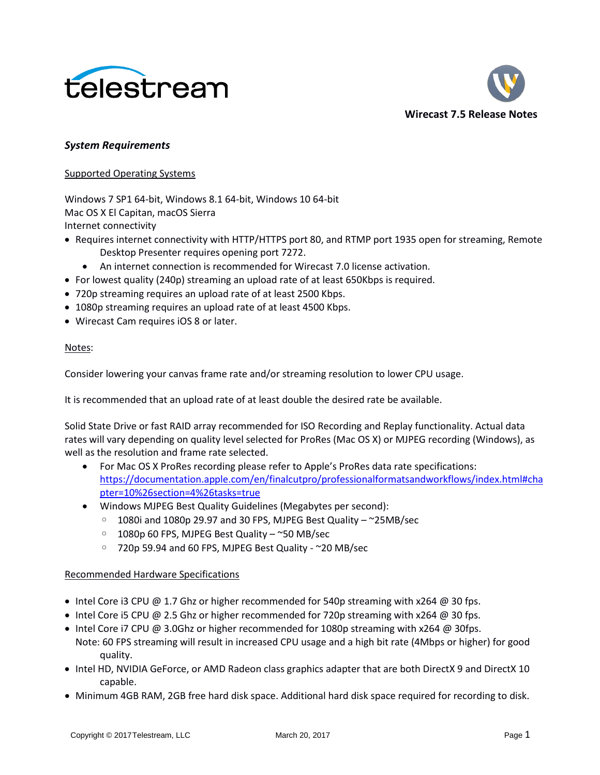



### *System Requirements*

#### Supported Operating Systems

Windows 7 SP1 64-bit, Windows 8.1 64-bit, Windows 10 64-bit Mac OS X El Capitan, macOS Sierra Internet connectivity

- Requires internet connectivity with HTTP/HTTPS port 80, and RTMP port 1935 open for streaming, Remote Desktop Presenter requires opening port 7272.
	- An internet connection is recommended for Wirecast 7.0 license activation.
- For lowest quality (240p) streaming an upload rate of at least 650Kbps is required.
- 720p streaming requires an upload rate of at least 2500 Kbps.
- 1080p streaming requires an upload rate of at least 4500 Kbps.
- Wirecast Cam requires iOS 8 or later.

#### Notes:

Consider lowering your canvas frame rate and/or streaming resolution to lower CPU usage.

It is recommended that an upload rate of at least double the desired rate be available.

Solid State Drive or fast RAID array recommended for ISO Recording and Replay functionality. Actual data rates will vary depending on quality level selected for ProRes (Mac OS X) or MJPEG recording (Windows), as well as the resolution and frame rate selected.

- For Mac OS X ProRes recording please refer to Apple's ProRes data rate specifications: [https://documentation.apple.com/en/finalcutpro/professionalformatsandworkflows/index.html#cha](https://documentation.apple.com/en/finalcutpro/professionalformatsandworkflows/index.html#chapter=10%26section=4%26tasks=true) [pter=10%26section=4%26tasks=true](https://documentation.apple.com/en/finalcutpro/professionalformatsandworkflows/index.html#chapter=10%26section=4%26tasks=true)
- Windows MJPEG Best Quality Guidelines (Megabytes per second):
	- 1080i and 1080p 29.97 and 30 FPS, MJPEG Best Quality ~25MB/sec
	- 1080p 60 FPS, MJPEG Best Quality ~50 MB/sec
	- 720p 59.94 and 60 FPS, MJPEG Best Quality ~20 MB/sec

### Recommended Hardware Specifications

- Intel Core i3 CPU  $\omega$  1.7 Ghz or higher recommended for 540p streaming with x264  $\omega$  30 fps.
- Intel Core i5 CPU @ 2.5 Ghz or higher recommended for 720p streaming with  $x264$  @ 30 fps.
- Intel Core i7 CPU @ 3.0Ghz or higher recommended for 1080p streaming with x264 @ 30fps. Note: 60 FPS streaming will result in increased CPU usage and a high bit rate (4Mbps or higher) for good quality.
- Intel HD, NVIDIA GeForce, or AMD Radeon class graphics adapter that are both DirectX 9 and DirectX 10 capable.
- Minimum 4GB RAM, 2GB free hard disk space. Additional hard disk space required for recording to disk.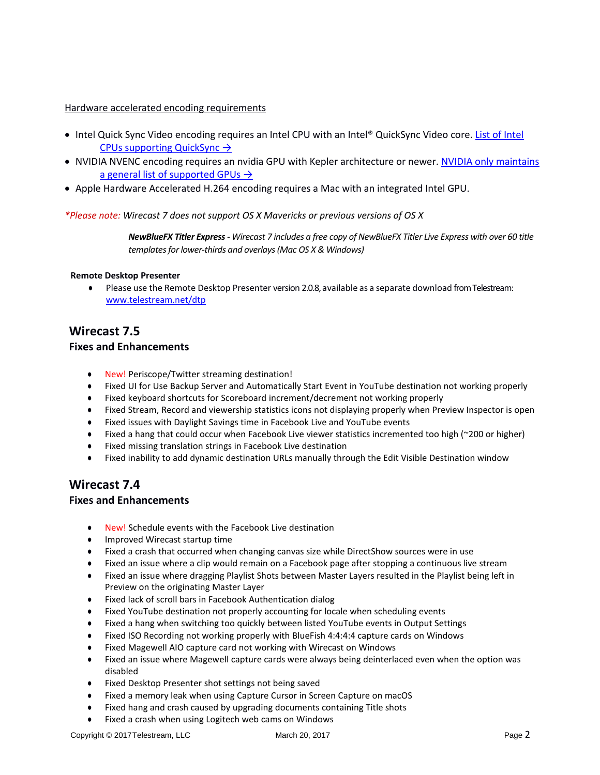#### Hardware accelerated encoding requirements

- Intel Quick Sync Video encoding requires an Intel CPU with an Intel® QuickSync Video core. List of Intel [CPUs supporting QuickSync](http://ark.intel.com/search/advanced?QuickSyncVideo=true&MarketSegment=DT) →
- NVIDIA NVENC encoding requires an nvidia GPU with Kepler architecture or newer. NVIDIA only maintains [a general list of supported GPUs](https://developer.nvidia.com/nvidia-video-codec-sdk#gpulist)  $\rightarrow$
- Apple Hardware Accelerated H.264 encoding requires a Mac with an integrated Intel GPU.

#### *\*Please note: Wirecast 7 does not support OS X Mavericks or previous versions of OS X*

*NewBlueFX Titler Express- Wirecast 7 includes a free copy of NewBlueFX Titler Live Express with over 60 title templates for lower-thirds and overlays (Mac OS X & Windows)*

#### **Remote Desktop Presenter**

● Please use the Remote Desktop Presenter version 2.0.8, available as a separate download from Telestream: www.telestream.net/dtp

### **Wirecast 7.5**

#### **Fixes and Enhancements**

- New! Periscope/Twitter streaming destination!
- Fixed UI for Use Backup Server and Automatically Start Event in YouTube destination not working properly
- Fixed keyboard shortcuts for Scoreboard increment/decrement not working properly
- Fixed Stream, Record and viewership statistics icons not displaying properly when Preview Inspector is open
- Fixed issues with Daylight Savings time in Facebook Live and YouTube events
- Fixed a hang that could occur when Facebook Live viewer statistics incremented too high (~200 or higher)
- Fixed missing translation strings in Facebook Live destination
- Fixed inability to add dynamic destination URLs manually through the Edit Visible Destination window

# **Wirecast 7.4**

### **Fixes and Enhancements**

- New! Schedule events with the Facebook Live destination
- Improved Wirecast startup time
- Fixed a crash that occurred when changing canvas size while DirectShow sources were in use
- Fixed an issue where a clip would remain on a Facebook page after stopping a continuous live stream
- Fixed an issue where dragging Playlist Shots between Master Layers resulted in the Playlist being left in Preview on the originating Master Layer
- Fixed lack of scroll bars in Facebook Authentication dialog
- Fixed YouTube destination not properly accounting for locale when scheduling events
- Fixed a hang when switching too quickly between listed YouTube events in Output Settings
- Fixed ISO Recording not working properly with BlueFish 4:4:4:4 capture cards on Windows
- Fixed Magewell AIO capture card not working with Wirecast on Windows
- Fixed an issue where Magewell capture cards were always being deinterlaced even when the option was disabled
- Fixed Desktop Presenter shot settings not being saved
- Fixed a memory leak when using Capture Cursor in Screen Capture on macOS
- Fixed hang and crash caused by upgrading documents containing Title shots
- Fixed a crash when using Logitech web cams on Windows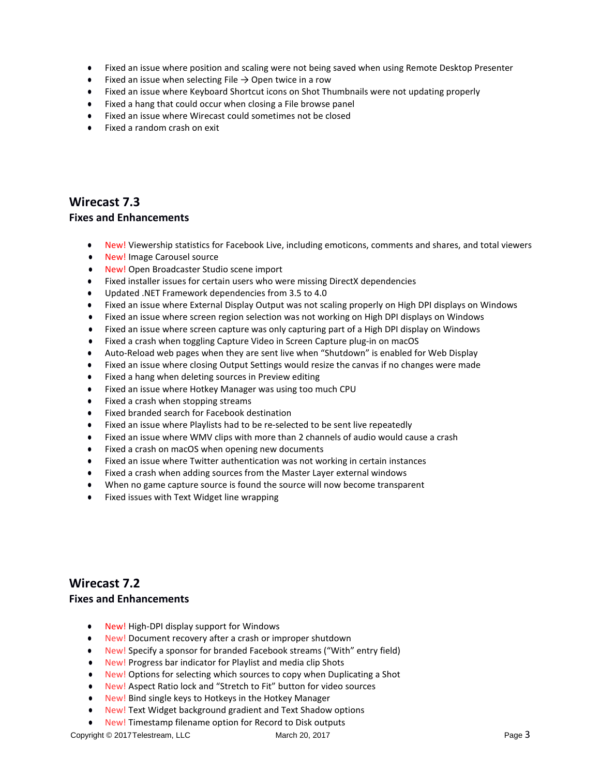- Fixed an issue where position and scaling were not being saved when using Remote Desktop Presenter
- Fixed an issue when selecting File  $\rightarrow$  Open twice in a row
- Fixed an issue where Keyboard Shortcut icons on Shot Thumbnails were not updating properly
- Fixed a hang that could occur when closing a File browse panel
- Fixed an issue where Wirecast could sometimes not be closed
- Fixed a random crash on exit

## **Wirecast 7.3**

### **Fixes and Enhancements**

- New! Viewership statistics for Facebook Live, including emoticons, comments and shares, and total viewers
- New! Image Carousel source
- New! Open Broadcaster Studio scene import
- Fixed installer issues for certain users who were missing DirectX dependencies
- Updated .NET Framework dependencies from 3.5 to 4.0
- Fixed an issue where External Display Output was not scaling properly on High DPI displays on Windows
- Fixed an issue where screen region selection was not working on High DPI displays on Windows
- Fixed an issue where screen capture was only capturing part of a High DPI display on Windows
- Fixed a crash when toggling Capture Video in Screen Capture plug-in on macOS
- Auto-Reload web pages when they are sent live when "Shutdown" is enabled for Web Display
- Fixed an issue where closing Output Settings would resize the canvas if no changes were made
- Fixed a hang when deleting sources in Preview editing
- Fixed an issue where Hotkey Manager was using too much CPU
- Fixed a crash when stopping streams
- Fixed branded search for Facebook destination
- Fixed an issue where Playlists had to be re-selected to be sent live repeatedly
- Fixed an issue where WMV clips with more than 2 channels of audio would cause a crash
- Fixed a crash on macOS when opening new documents
- Fixed an issue where Twitter authentication was not working in certain instances
- Fixed a crash when adding sources from the Master Layer external windows
- When no game capture source is found the source will now become transparent
- Fixed issues with Text Widget line wrapping

## **Wirecast 7.2**

#### **Fixes and Enhancements**

- New! High-DPI display support for Windows
- New! Document recovery after a crash or improper shutdown
- New! Specify a sponsor for branded Facebook streams ("With" entry field)
- New! Progress bar indicator for Playlist and media clip Shots
- New! Options for selecting which sources to copy when Duplicating a Shot
- New! Aspect Ratio lock and "Stretch to Fit" button for video sources
- New! Bind single keys to Hotkeys in the Hotkey Manager
- New! Text Widget background gradient and Text Shadow options
- New! Timestamp filename option for Record to Disk outputs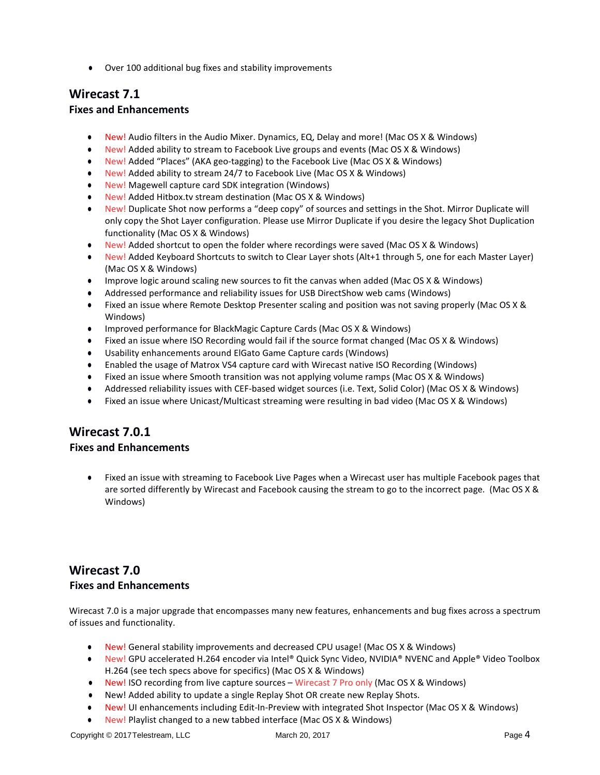● Over 100 additional bug fixes and stability improvements

# **Wirecast 7.1**

### **Fixes and Enhancements**

- New! Audio filters in the Audio Mixer. Dynamics, EQ, Delay and more! (Mac OS X & Windows)
- New! Added ability to stream to Facebook Live groups and events (Mac OS X & Windows)
- New! Added "Places" (AKA geo-tagging) to the Facebook Live (Mac OS X & Windows)
- New! Added ability to stream 24/7 to Facebook Live (Mac OS X & Windows)
- New! Magewell capture card SDK integration (Windows)
- New! Added Hitbox.tv stream destination (Mac OS X & Windows)
- New! Duplicate Shot now performs a "deep copy" of sources and settings in the Shot. Mirror Duplicate will only copy the Shot Layer configuration. Please use Mirror Duplicate if you desire the legacy Shot Duplication functionality (Mac OS X & Windows)
- New! Added shortcut to open the folder where recordings were saved (Mac OS X & Windows)
- New! Added Keyboard Shortcuts to switch to Clear Layer shots (Alt+1 through 5, one for each Master Layer) (Mac OS X & Windows)
- Improve logic around scaling new sources to fit the canvas when added (Mac OS X & Windows)
- Addressed performance and reliability issues for USB DirectShow web cams (Windows)
- Fixed an issue where Remote Desktop Presenter scaling and position was not saving properly (Mac OS X & Windows)
- Improved performance for BlackMagic Capture Cards (Mac OS X & Windows)
- Fixed an issue where ISO Recording would fail if the source format changed (Mac OS X & Windows)
- Usability enhancements around ElGato Game Capture cards (Windows)
- Enabled the usage of Matrox VS4 capture card with Wirecast native ISO Recording (Windows)
- Fixed an issue where Smooth transition was not applying volume ramps (Mac OS X & Windows)
- Addressed reliability issues with CEF-based widget sources (i.e. Text, Solid Color) (Mac OS X & Windows)
- Fixed an issue where Unicast/Multicast streaming were resulting in bad video (Mac OS X & Windows)

# **Wirecast 7.0.1**

### **Fixes and Enhancements**

Fixed an issue with streaming to Facebook Live Pages when a Wirecast user has multiple Facebook pages that are sorted differently by Wirecast and Facebook causing the stream to go to the incorrect page. (Mac OS X & Windows)

## **Wirecast 7.0 Fixes and Enhancements**

Wirecast 7.0 is a major upgrade that encompasses many new features, enhancements and bug fixes across a spectrum of issues and functionality.

- New! General stability improvements and decreased CPU usage! (Mac OS X & Windows)
- New! GPU accelerated H.264 encoder via Intel® Quick Sync Video, NVIDIA® NVENC and Apple® Video Toolbox H.264 (see tech specs above for specifics) (Mac OS X & Windows)
- New! ISO recording from live capture sources Wirecast 7 Pro only (Mac OS X & Windows)
- New! Added ability to update a single Replay Shot OR create new Replay Shots.
- New! UI enhancements including Edit-In-Preview with integrated Shot Inspector (Mac OS X & Windows)
- New! Playlist changed to a new tabbed interface (Mac OS X & Windows)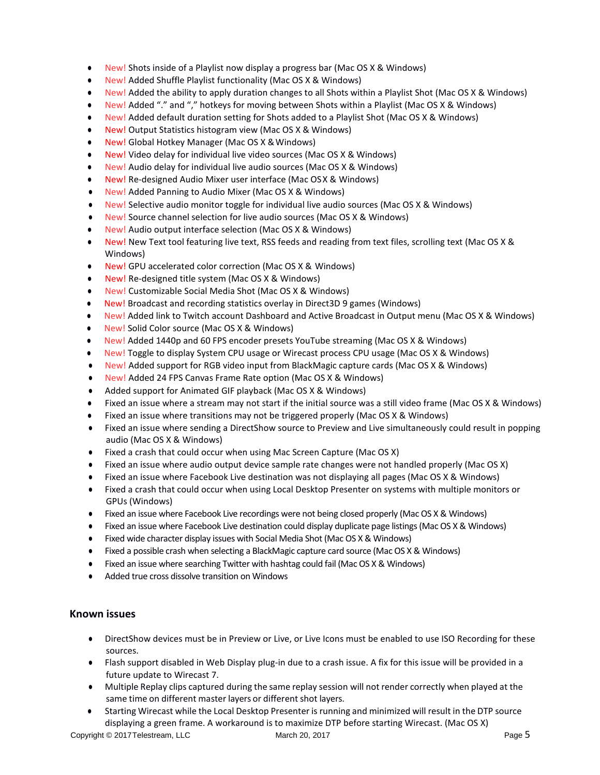- New! Shots inside of a Playlist now display a progress bar (Mac OS X & Windows)
- New! Added Shuffle Playlist functionality (Mac OS X & Windows)
- New! Added the ability to apply duration changes to all Shots within a Playlist Shot (Mac OS X & Windows)
- New! Added "." and "," hotkeys for moving between Shots within a Playlist (Mac OS X & Windows)
- New! Added default duration setting for Shots added to a Playlist Shot (Mac OS X & Windows)
- New! Output Statistics histogram view (Mac OS X & Windows)
- New! Global Hotkey Manager (Mac OS X & Windows)
- New! Video delay for individual live video sources (Mac OS X & Windows)
- New! Audio delay for individual live audio sources (Mac OS X & Windows)
- New! Re-designed Audio Mixer user interface (Mac OSX & Windows)
- New! Added Panning to Audio Mixer (Mac OS X & Windows)
- New! Selective audio monitor toggle for individual live audio sources (Mac OS X & Windows)
- New! Source channel selection for live audio sources (Mac OS X & Windows)
- New! Audio output interface selection (Mac OS X & Windows)
- New! New Text tool featuring live text, RSS feeds and reading from text files, scrolling text (Mac OS X & Windows)
- New! GPU accelerated color correction (Mac OS X & Windows)
- New! Re-designed title system (Mac OS X & Windows)
- New! Customizable Social Media Shot (Mac OS X & Windows)
- New! Broadcast and recording statistics overlay in Direct3D 9 games (Windows)
- New! Added link to Twitch account Dashboard and Active Broadcast in Output menu (Mac OS X & Windows)
- New! Solid Color source (Mac OS X & Windows)
- New! Added 1440p and 60 FPS encoder presets YouTube streaming (Mac OS X & Windows)
- New! Toggle to display System CPU usage or Wirecast process CPU usage (Mac OS X & Windows)
- New! Added support for RGB video input from BlackMagic capture cards (Mac OS X & Windows)
- New! Added 24 FPS Canvas Frame Rate option (Mac OS X & Windows)
- Added support for Animated GIF playback (Mac OS X & Windows)
- Fixed an issue where a stream may not start if the initial source was a still video frame (Mac OS X & Windows)
- Fixed an issue where transitions may not be triggered properly (Mac OS X & Windows)
- Fixed an issue where sending a DirectShow source to Preview and Live simultaneously could result in popping audio (Mac OS X & Windows)
- Fixed a crash that could occur when using Mac Screen Capture (Mac OS X)
- Fixed an issue where audio output device sample rate changes were not handled properly (Mac OS X)
- Fixed an issue where Facebook Live destination was not displaying all pages (Mac OS X & Windows)
- Fixed a crash that could occur when using Local Desktop Presenter on systems with multiple monitors or GPUs (Windows)
- Fixed an issue where Facebook Live recordings were not being closed properly (Mac OS X & Windows)
- Fixed an issue where Facebook Live destination could display duplicate page listings (Mac OS X & Windows)
- Fixed wide character display issues with Social Media Shot (Mac OS X & Windows)
- Fixed a possible crash when selecting a BlackMagic capture card source (Mac OS X & Windows)
- Fixed an issue where searching Twitter with hashtag could fail (Mac OS X & Windows)
- Added true cross dissolve transition on Windows

### **Known issues**

- DirectShow devices must be in Preview or Live, or Live Icons must be enabled to use ISO Recording for these sources.
- Flash support disabled in Web Display plug-in due to a crash issue. A fix for this issue will be provided in a future update to Wirecast 7.
- Multiple Replay clips captured during the same replay session will not render correctly when played at the same time on different master layers or different shot layers.
- Starting Wirecast while the Local Desktop Presenter is running and minimized will result in the DTP source displaying a green frame. A workaround is to maximize DTP before starting Wirecast. (Mac OS X)